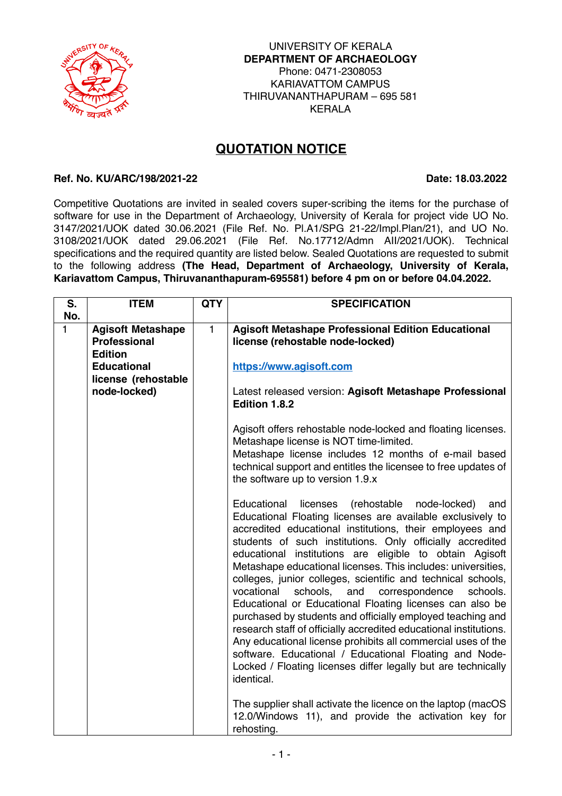

## **QUOTATION NOTICE**

## **Ref. No. KU/ARC/198/2021-22 Date: 18.03.2022**

Competitive Quotations are invited in sealed covers super-scribing the items for the purchase of software for use in the Department of Archaeology, University of Kerala for project vide UO No. 3147/2021/UOK dated 30.06.2021 (File Ref. No. Pl.A1/SPG 21-22/Impl.Plan/21), and UO No. 3108/2021/UOK dated 29.06.2021 (File Ref. No.17712/Admn AII/2021/UOK). Technical specifications and the required quantity are listed below. Sealed Quotations are requested to submit to the following address **(The Head, Department of Archaeology, University of Kerala, Kariavattom Campus, Thiruvananthapuram-695581) before 4 pm on or before 04.04.2022.**

| S.  | <b>ITEM</b>                                                       | <b>QTY</b>   | <b>SPECIFICATION</b>                                                                                                                                                                                                                                                                                                                                                                                                                                                                                                                                                                                                                                                                                                                                                                                                                                                                                                   |
|-----|-------------------------------------------------------------------|--------------|------------------------------------------------------------------------------------------------------------------------------------------------------------------------------------------------------------------------------------------------------------------------------------------------------------------------------------------------------------------------------------------------------------------------------------------------------------------------------------------------------------------------------------------------------------------------------------------------------------------------------------------------------------------------------------------------------------------------------------------------------------------------------------------------------------------------------------------------------------------------------------------------------------------------|
| No. |                                                                   |              |                                                                                                                                                                                                                                                                                                                                                                                                                                                                                                                                                                                                                                                                                                                                                                                                                                                                                                                        |
| 1   | <b>Agisoft Metashape</b><br><b>Professional</b><br><b>Edition</b> | $\mathbf{1}$ | <b>Agisoft Metashape Professional Edition Educational</b><br>license (rehostable node-locked)                                                                                                                                                                                                                                                                                                                                                                                                                                                                                                                                                                                                                                                                                                                                                                                                                          |
|     | <b>Educational</b><br>license (rehostable                         |              | https://www.agisoft.com                                                                                                                                                                                                                                                                                                                                                                                                                                                                                                                                                                                                                                                                                                                                                                                                                                                                                                |
|     | node-locked)                                                      |              | Latest released version: Agisoft Metashape Professional<br>Edition 1.8.2                                                                                                                                                                                                                                                                                                                                                                                                                                                                                                                                                                                                                                                                                                                                                                                                                                               |
|     |                                                                   |              | Agisoft offers rehostable node-locked and floating licenses.<br>Metashape license is NOT time-limited.<br>Metashape license includes 12 months of e-mail based<br>technical support and entitles the licensee to free updates of<br>the software up to version 1.9.x                                                                                                                                                                                                                                                                                                                                                                                                                                                                                                                                                                                                                                                   |
|     |                                                                   |              | Educational<br>licenses<br>(rehostable<br>node-locked)<br>and<br>Educational Floating licenses are available exclusively to<br>accredited educational institutions, their employees and<br>students of such institutions. Only officially accredited<br>educational institutions are eligible to obtain Agisoft<br>Metashape educational licenses. This includes: universities,<br>colleges, junior colleges, scientific and technical schools,<br>vocational<br>schools,<br>and<br>correspondence<br>schools.<br>Educational or Educational Floating licenses can also be<br>purchased by students and officially employed teaching and<br>research staff of officially accredited educational institutions.<br>Any educational license prohibits all commercial uses of the<br>software. Educational / Educational Floating and Node-<br>Locked / Floating licenses differ legally but are technically<br>identical. |
|     |                                                                   |              | The supplier shall activate the licence on the laptop (macOS<br>12.0/Windows 11), and provide the activation key for<br>rehosting.                                                                                                                                                                                                                                                                                                                                                                                                                                                                                                                                                                                                                                                                                                                                                                                     |